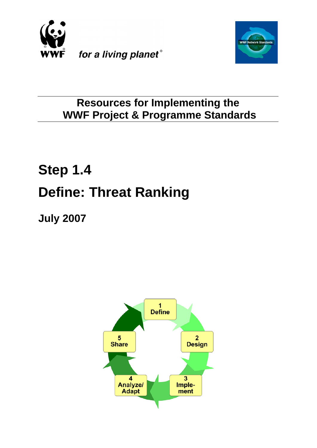



# **Resources for Implementing the WWF Project & Programme Standards**

# **Step 1.4 Define: Threat Ranking**

**July 2007**

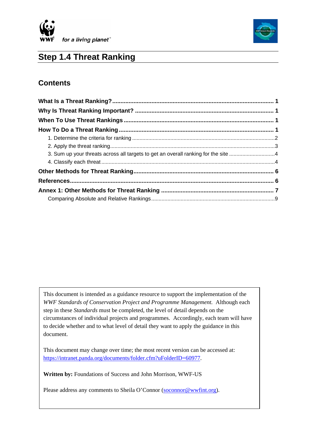



# **Step 1.4 Threat Ranking**

### **Contents**

 $\overline{\phantom{a}}$ 

This document is intended as a guidance resource to support the implementation of the *WWF Standards of Conservation Project and Programme Management.* Although each step in these *Standards* must be completed, the level of detail depends on the circumstances of individual projects and programmes. Accordingly, each team will have to decide whether and to what level of detail they want to apply the guidance in this document.

This document may change over time; the most recent version can be accessed at: <https://intranet.panda.org/documents/folder.cfm?uFolderID=60977>.

**Written by:** Foundations of Success and John Morrison, WWF-US

Please address any comments to Sheila O'Connor [\(soconnor@wwfint.org](mailto:soconnor@wwfint.org)).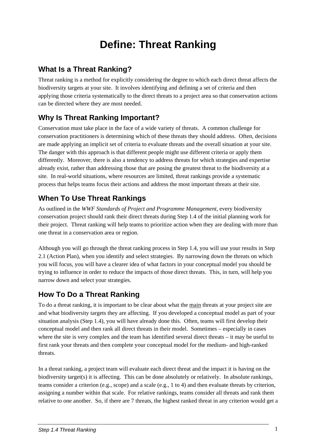# **Define: Threat Ranking**

# <span id="page-2-0"></span>**What Is a Threat Ranking?**

Threat ranking is a method for explicitly considering the degree to which each direct threat affects the biodiversity targets at your site. It involves identifying and defining a set of criteria and then applying those criteria systematically to the direct threats to a project area so that conservation actions can be directed where they are most needed.

# **Why Is Threat Ranking Important?**

Conservation must take place in the face of a wide variety of threats. A common challenge for conservation practitioners is determining which of these threats they should address. Often, decisions are made applying an implicit set of criteria to evaluate threats and the overall situation at your site. The danger with this approach is that different people might use different criteria or apply them differently. Moreover, there is also a tendency to address threats for which strategies and expertise already exist, rather than addressing those that are posing the greatest threat to the biodiversity at a site. In real-world situations, where resources are limited, threat rankings provide a systematic process that helps teams focus their actions and address the most important threats at their site.

# **When To Use Threat Rankings**

As outlined in the *WWF Standards of Project and Programme Management*, every biodiversity conservation project should rank their direct threats during Step 1.4 of the initial planning work for their project. Threat ranking will help teams to prioritize action when they are dealing with more than one threat in a conservation area or region.

Although you will go through the threat ranking process in Step 1.4, you will use your results in Step 2.1 (Action Plan), when you identify and select strategies. By narrowing down the threats on which you will focus, you will have a clearer idea of what factors in your conceptual model you should be trying to influence in order to reduce the impacts of those direct threats. This, in turn, will help you narrow down and select your strategies.

# **How To Do a Threat Ranking**

To do a threat ranking, it is important to be clear about what the main threats at your project site are and what biodiversity targets they are affecting. If you developed a conceptual model as part of your situation analysis (Step 1.4), you will have already done this. Often, teams will first develop their conceptual model and then rank all direct threats in their model. Sometimes – especially in cases where the site is very complex and the team has identified several direct threats – it may be useful to first rank your threats and then complete your conceptual model for the medium- and high-ranked threats.

In a threat ranking, a project team will evaluate each direct threat and the impact it is having on the biodiversity target(s) it is affecting. This can be done absolutely or relatively. In absolute rankings, teams consider a criterion (e.g., scope) and a scale (e.g., 1 to 4) and then evaluate threats by criterion, assigning a number within that scale. For relative rankings, teams consider all threats and rank them relative to one another. So, if there are 7 threats, the highest ranked threat in any criterion would get a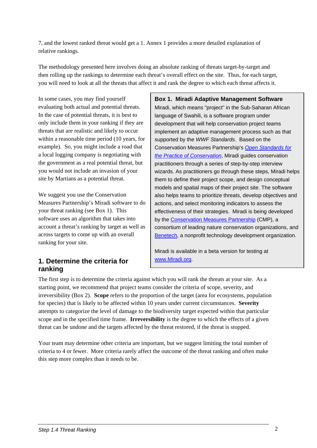<span id="page-3-0"></span>7, and the lowest ranked threat would get a 1. Annex 1 provides a more detailed explanation of relative rankings.

The methodology presented here involves doing an absolute ranking of threats target-by-target and then rolling up the rankings to determine each threat's overall effect on the site. Thus, for each target, you will need to look at all the threats that affect it and rank the degree to which each threat affects it.

In some cases, you may find yourself evaluating both actual and potential threats. In the case of potential threats, it is best to only include them in your ranking if they are threats that are realistic and likely to occur within a reasonable time period (10 years, for example). So, you might include a road that a local logging company is negotiating with the government as a real potential threat, but you would not include an invasion of your site by Martians as a potential threat.

We suggest you use the Conservation Measures Partnership's Miradi software to do your threat ranking (see Box 1). This software uses an algorithm that takes into account a threat's ranking by target as well as across targets to come up with an overall ranking for your site.

#### **1. Determine the criteria for ranking**

**Box 1. Miradi Adaptive Management Software**  Miradi, which means "project" in the Sub-Saharan African language of Swahili, is a software program under development that will help conservation project teams implement an adaptive management process such as that supported by the *WWF Standards*. Based on the Conservation Measures Partnership's *[Open Standards for](http://www.conservationmeasures.org/CMP/Library/CMP_Open_Standards_v1.0.pdf)  [the Practice of Conservation](http://www.conservationmeasures.org/CMP/Library/CMP_Open_Standards_v1.0.pdf)*, Miradi guides conservation practitioners through a series of step-by-step interview wizards. As practitioners go through these steps, Miradi helps them to define their project scope, and design conceptual models and spatial maps of their project site. The software also helps teams to prioritize threats, develop objectives and actions, and select monitoring indicators to assess the effectiveness of their strategies. Miradi is being developed by the [Conservation Measures Partnership](http://www.conservationmeasures.org/CMP/) (CMP), a consortium of leading nature conservation organizations, and Benetech, a nonprofit technology development organization.

Miradi is available in a beta version for testing at [www.Miradi.org.](http://www.miradi.org/)

The first step is to determine the criteria against which you will rank the threats at your site. As a starting point, we recommend that project teams consider the criteria of scope, severity, and irreversibility (Box 2). **Scope** refers to the proportion of the target (area for ecosystems, population for species) that is likely to be affected within 10 years under current circumstances. **Severity** attempts to categorize the level of damage to the biodiversity target expected within that particular scope and in the specified time frame. **Irreversibility** is the degree to which the effects of a given threat can be undone and the targets affected by the threat restored, if the threat is stopped.

Your team may determine other criteria are important, but we suggest limiting the total number of criteria to 4 or fewer. More criteria rarely affect the outcome of the threat ranking and often make this step more complex than it needs to be.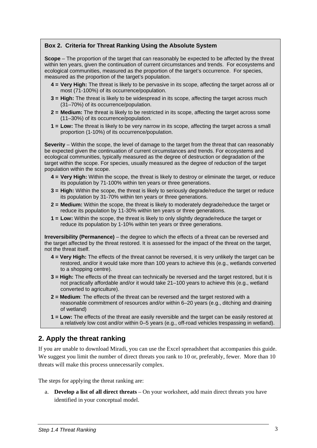#### <span id="page-4-0"></span>**Box 2. Criteria for Threat Ranking Using the Absolute System**

**Scope** – The proportion of the target that can reasonably be expected to be affected by the threat within ten years, given the continuation of current circumstances and trends. For ecosystems and ecological communities, measured as the proportion of the target's occurrence. For species, measured as the proportion of the target's population.

- **4 = Very High:** The threat is likely to be pervasive in its scope, affecting the target across all or most (71-100%) of its occurrence/population.
- **3 = High:** The threat is likely to be widespread in its scope, affecting the target across much (31–70%) of its occurrence/population.
- **2 = Medium:** The threat is likely to be restricted in its scope, affecting the target across some (11–30%) of its occurrence/population.
- **1 = Low:** The threat is likely to be very narrow in its scope, affecting the target across a small proportion (1-10%) of its occurrence/population.

**Severity** – Within the scope, the level of damage to the target from the threat that can reasonably be expected given the continuation of current circumstances and trends. For ecosystems and ecological communities, typically measured as the degree of destruction or degradation of the target within the scope. For species, usually measured as the degree of reduction of the target population within the scope.

- **4 = Very High:** Within the scope, the threat is likely to destroy or eliminate the target, or reduce its population by 71-100% within ten years or three generations.
- **3 = High:** Within the scope, the threat is likely to seriously degrade/reduce the target or reduce its population by 31-70% within ten years or three generations.
- **2 = Medium:** Within the scope, the threat is likely to moderately degrade/reduce the target or reduce its population by 11-30% within ten years or three generations.
- **1 = Low:** Within the scope, the threat is likely to only slightly degrade/reduce the target or reduce its population by 1-10% within ten years or three generations.

**Irreversibility (Permanence)** – the degree to which the effects of a threat can be reversed and the target affected by the threat restored. It is assessed for the impact of the threat on the target, not the threat itself.

- **4 = Very High:** The effects of the threat cannot be reversed, it is very unlikely the target can be restored, and/or it would take more than 100 years to achieve this (e.g., wetlands converted to a shopping centre).
- **3 = High:** The effects of the threat can technically be reversed and the target restored, but it is not practically affordable and/or it would take 21–100 years to achieve this (e.g., wetland converted to agriculture).
- **2 = Medium**: The effects of the threat can be reversed and the target restored with a reasonable commitment of resources and/or within 6–20 years (e.g., ditching and draining of wetland)
- **1 = Low:** The effects of the threat are easily reversible and the target can be easily restored at a relatively low cost and/or within 0–5 years (e.g., off-road vehicles trespassing in wetland).

#### **2. Apply the threat ranking**

If you are unable to download Miradi, you can use the Excel spreadsheet that accompanies this guide. We suggest you limit the number of direct threats you rank to 10 or, preferably, fewer. More than 10 threats will make this process unnecessarily complex.

The steps for applying the threat ranking are:

a. **Develop a list of all direct threats** – On your worksheet, add main direct threats you have identified in your conceptual model.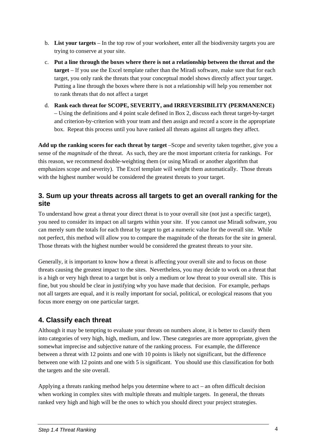- <span id="page-5-0"></span>b. **List your targets** – In the top row of your worksheet, enter all the biodiversity targets you are trying to conserve at your site.
- c. **Put a line through the boxes where there is not a relationship between the threat and the target** – If you use the Excel template rather than the Miradi software, make sure that for each target, you only rank the threats that your conceptual model shows directly affect your target. Putting a line through the boxes where there is not a relationship will help you remember not to rank threats that do not affect a target
- d. **Rank each threat for SCOPE, SEVERITY, and IRREVERSIBILITY (PERMANENCE)** – Using the definitions and 4 point scale defined in Box 2, discuss each threat target-by-target and criterion-by-criterion with your team and then assign and record a score in the appropriate box. Repeat this process until you have ranked all threats against all targets they affect.

**Add up the ranking scores for each threat by target** –Scope and severity taken together, give you a sense of the *magnitude* of the threat. As such, they are the most important criteria for rankings. For this reason, we recommend double-weighting them (or using Miradi or another algorithm that emphasizes scope and severity). The Excel template will weight them automatically. Those threats with the highest number would be considered the greatest threats to your target.

#### **3. Sum up your threats across all targets to get an overall ranking for the site**

To understand how great a threat your direct threat is to your overall site (not just a specific target), you need to consider its impact on all targets within your site. If you cannot use Miradi software, you can merely sum the totals for each threat by target to get a numeric value for the overall site. While not perfect, this method will allow you to compare the magnitude of the threats for the site in general. Those threats with the highest number would be considered the greatest threats to your site.

Generally, it is important to know how a threat is affecting your overall site and to focus on those threats causing the greatest impact to the sites. Nevertheless, you may decide to work on a threat that is a high or very high threat to a target but is only a medium or low threat to your overall site. This is fine, but you should be clear in justifying why you have made that decision. For example, perhaps not all targets are equal, and it is really important for social, political, or ecological reasons that you focus more energy on one particular target.

#### **4. Classify each threat**

Although it may be tempting to evaluate your threats on numbers alone, it is better to classify them into categories of very high, high, medium, and low. These categories are more appropriate, given the somewhat imprecise and subjective nature of the ranking process. For example, the difference between a threat with 12 points and one with 10 points is likely not significant, but the difference between one with 12 points and one with 5 is significant. You should use this classification for both the targets and the site overall.

Applying a threats ranking method helps you determine where to act – an often difficult decision when working in complex sites with multiple threats and multiple targets. In general, the threats ranked very high and high will be the ones to which you should direct your project strategies.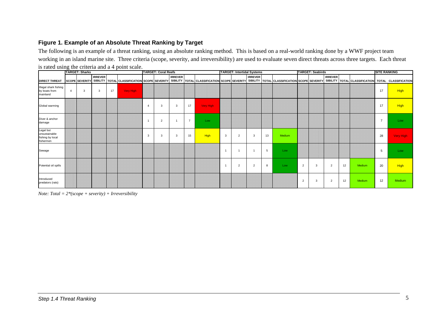#### **Figure 1. Example of an Absolute Threat Ranking by Target**

The following is an example of a threat ranking, using an absolute ranking method. This is based on a real-world ranking done by a WWF project team working in an island marine site. Three criteria (scope, severity, and irreversibility) are used to evaluate seven direct threats across three targets. Each threat is rated using the criteria and a 4 point scale.

|                                                             | <b>TARGET: Sharks</b> |                       |                | <b>TARGET: Coral Reefs</b> |           |                |                | <b>TARGET: Intertidal Systems</b> |                |           |   | <b>TARGET: Seabirds</b> |                |    |                                                                                                                                                                                                         | <b>SITE RANKING</b> |   |                |    |        |    |             |
|-------------------------------------------------------------|-----------------------|-----------------------|----------------|----------------------------|-----------|----------------|----------------|-----------------------------------|----------------|-----------|---|-------------------------|----------------|----|---------------------------------------------------------------------------------------------------------------------------------------------------------------------------------------------------------|---------------------|---|----------------|----|--------|----|-------------|
| <b>DIRECT THREAT</b>                                        |                       | <b>SCOPE SEVERITY</b> | <b>IRREVER</b> |                            |           |                |                | <b>IRREVER</b>                    |                |           |   |                         | <b>IRREVER</b> |    | SIBILITY   TOTAL CLASSIFICATION SCOPE SEVERITY   SIBILITY   TOTAL CLASSIFICATION SCOPE SEVERITY   SIBILITY   TOTAL CLASSIFICATION SCOPE SEVERITY   SIBILITY   TOTAL CLASSIFICATION TOTAL CLASSIFICATION |                     |   | <b>IRREVER</b> |    |        |    |             |
| Illegal shark fishing<br>by boats from<br>mainland          | $\overline{4}$        | 3                     | 3              | 17                         | Very High |                |                |                                   |                |           |   |                         |                |    |                                                                                                                                                                                                         |                     |   |                |    |        | 17 | <b>High</b> |
| Global warming                                              |                       |                       |                |                            |           | $\overline{4}$ | 3              | 3                                 | 17             | Very High |   |                         |                |    |                                                                                                                                                                                                         |                     |   |                |    |        | 17 | <b>High</b> |
| Diver & anchor<br>damage                                    |                       |                       |                |                            |           |                | $\overline{2}$ |                                   | $\overline{7}$ | Low       |   |                         |                |    |                                                                                                                                                                                                         |                     |   |                |    |        | 7  | Low         |
| Legal but<br>unsustainable<br>fishing by local<br>fishermen |                       |                       |                |                            |           | 3              | 3              | 3                                 | 15             | High      | 3 | $\overline{2}$          | 3              | 13 | Medium                                                                                                                                                                                                  |                     |   |                |    |        | 28 | Very High   |
| Sewage                                                      |                       |                       |                |                            |           |                |                |                                   |                |           |   |                         |                | 5  | Low                                                                                                                                                                                                     |                     |   |                |    |        | 5  | Low         |
| Potential oil spills                                        |                       |                       |                |                            |           |                |                |                                   |                |           |   | $\overline{2}$          | $\overline{2}$ | 8  | Low                                                                                                                                                                                                     | $\overline{2}$      | 3 | $\overline{2}$ | 12 | Medium | 20 | <b>High</b> |
| Introduced<br>predators (rats)                              |                       |                       |                |                            |           |                |                |                                   |                |           |   |                         |                |    |                                                                                                                                                                                                         | $\overline{2}$      | 3 | $\overline{2}$ | 12 | Medium | 12 | Medium      |

*Note: Total = 2\*(scope + severity) + Irreversibility*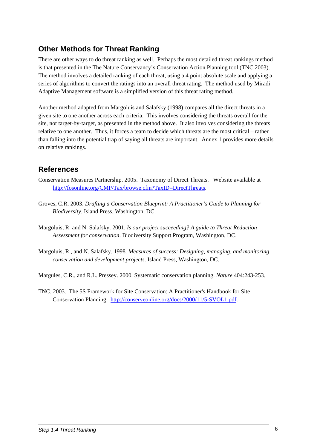# <span id="page-7-0"></span>**Other Methods for Threat Ranking**

There are other ways to do threat ranking as well. Perhaps the most detailed threat rankings method is that presented in the The Nature Conservancy's Conservation Action Planning tool (TNC 2003). The method involves a detailed ranking of each threat, using a 4 point absolute scale and applying a series of algorithms to convert the ratings into an overall threat rating. The method used by Miradi Adaptive Management software is a simplified version of this threat rating method.

Another method adapted from Margoluis and Salafsky (1998) compares all the direct threats in a given site to one another across each criteria. This involves considering the threats overall for the site, not target-by-target, as presented in the method above. It also involves considering the threats relative to one another. Thus, it forces a team to decide which threats are the most critical – rather than falling into the potential trap of saying all threats are important. Annex 1 provides more details on relative rankings.

## **References**

- Conservation Measures Partnership. 2005. Taxonomy of Direct Threats. Website available at <http://fosonline.org/CMP/Tax/browse.cfm?TaxID=DirectThreats>.
- Groves, C.R. 2003. *Drafting a Conservation Blueprint: A Practitioner's Guide to Planning for Biodiversity*. Island Press, Washington, DC.
- Margoluis, R. and N. Salafsky. 2001. *Is our project succeeding? A guide to Threat Reduction Assessment for conservation*. Biodiversity Support Program, Washington, DC.
- Margoluis, R., and N. Salafsky. 1998. *Measures of success: Designing, managing, and monitoring conservation and development projects*. Island Press, Washington, DC.
- Margules, C.R., and R.L. Pressey. 2000. Systematic conservation planning. *Nature* 404:243-253.
- TNC. 2003. The 5S Framework for Site Conservation: A Practitioner's Handbook for Site Conservation Planning. <http://conserveonline.org/docs/2000/11/5-SVOL1.pdf>.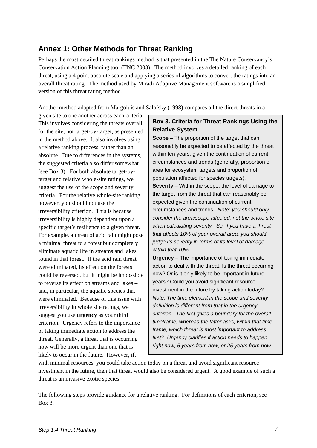## <span id="page-8-0"></span>**Annex 1: Other Methods for Threat Ranking**

Perhaps the most detailed threat rankings method is that presented in the The Nature Conservancy's Conservation Action Planning tool (TNC 2003). The method involves a detailed ranking of each threat, using a 4 point absolute scale and applying a series of algorithms to convert the ratings into an overall threat rating. The method used by Miradi Adaptive Management software is a simplified version of this threat rating method.

Another method adapted from Margoluis and Salafsky (1998) compares all the direct threats in a

given site to one another across each criteria. This involves considering the threats overall for the site, not target-by-target, as presented in the method above. It also involves using a relative ranking process, rather than an absolute. Due to differences in the systems, the suggested criteria also differ somewhat (see Box 3). For both absolute target-bytarget and relative whole-site ratings, we suggest the use of the scope and severity criteria. For the relative whole-site ranking, however, you should not use the irreversibility criterion. This is because irreversibility is highly dependent upon a specific target's resilience to a given threat. For example, a threat of acid rain might pose a minimal threat to a forest but completely eliminate aquatic life in streams and lakes found in that forest. If the acid rain threat were eliminated, its effect on the forests could be reversed, but it might be impossible to reverse its effect on streams and lakes – and, in particular, the aquatic species that were eliminated. Because of this issue with irreversibility in whole site ratings, we suggest you use **urgency** as your third criterion. Urgency refers to the importance of taking immediate action to address the threat. Generally, a threat that is occurring now will be more urgent than one that is likely to occur in the future. However, if,

#### **Box 3. Criteria for Threat Rankings Using the Relative System**

**Scope** – The proportion of the target that can reasonably be expected to be affected by the threat within ten years, given the continuation of current circumstances and trends (generally, proportion of area for ecosystem targets and proportion of population affected for species targets). **Severity** – Within the scope, the level of damage to the target from the threat that can reasonably be expected given the continuation of current circumstances and trends. *Note: you should only consider the area/scope affected, not the whole site when calculating severity. So, if you have a threat that affects 10% of your overall area, you should judge its severity in terms of its level of damage within that 10%.*

**Urgency** – The importance of taking immediate action to deal with the threat. Is the threat occurring now? Or is it only likely to be important in future years? Could you avoid significant resource investment in the future by taking action today? *Note: The time element in the scope and severity definition is different from that in the urgency criterion. The first gives a boundary for the overall timeframe, whereas the latter asks, within that time frame, which threat is most important to address first? Urgency clarifies if action needs to happen right now, 5 years from now, or 25 years from now.* 

with minimal resources, you could take action today on a threat and avoid significant resource investment in the future, then that threat would also be considered urgent. A good example of such a threat is an invasive exotic species.

The following steps provide guidance for a relative ranking. For definitions of each criterion, see Box 3.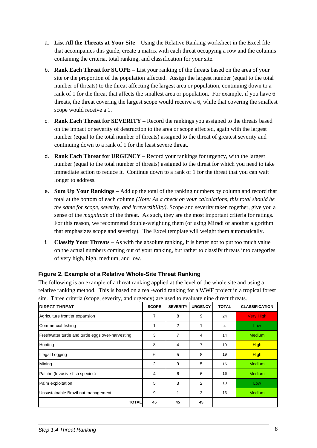- a. **List All the Threats at Your Site** Using the Relative Ranking worksheet in the Excel file that accompanies this guide, create a matrix with each threat occupying a row and the columns containing the criteria, total ranking, and classification for your site.
- b. **Rank Each Threat for SCOPE** List your ranking of the threats based on the area of your site or the proportion of the population affected. Assign the largest number (equal to the total number of threats) to the threat affecting the largest area or population, continuing down to a rank of 1 for the threat that affects the smallest area or population. For example, if you have 6 threats, the threat covering the largest scope would receive a 6, while that covering the smallest scope would receive a 1.
- c. **Rank Each Threat for SEVERITY** Record the rankings you assigned to the threats based on the impact or severity of destruction to the area or scope affected, again with the largest number (equal to the total number of threats) assigned to the threat of greatest severity and continuing down to a rank of 1 for the least severe threat.
- d. **Rank Each Threat for URGENCY** Record your rankings for urgency, with the largest number (equal to the total number of threats) assigned to the threat for which you need to take immediate action to reduce it. Continue down to a rank of 1 for the threat that you can wait longer to address.
- e. **Sum Up Your Rankings**  Add up the total of the ranking numbers by column and record that total at the bottom of each column *(Note: As a check on your calculations, this total should be the same for scope, severity, and irreversibility)*. Scope and severity taken together, give you a sense of the *magnitude* of the threat. As such, they are the most important criteria for ratings. For this reason, we recommend double-weighting them (or using Miradi or another algorithm that emphasizes scope and severity). The Excel template will weight them automatically.
- f. **Classify Your Threats**  As with the absolute ranking, it is better not to put too much value on the actual numbers coming out of your ranking, but rather to classify threats into categories of very high, high, medium, and low.

#### **Figure 2. Example of a Relative Whole-Site Threat Ranking**

The following is an example of a threat ranking applied at the level of the whole site and using a relative ranking method. This is based on a real-world ranking for a WWF project in a tropical forest site. Three criteria (scope, severity, and urgency) are used to evaluate nine direct threats.

| <b>DIRECT THREAT</b>                              | <b>SCOPE</b> | <b>SEVERITY</b> | <b>URGENCY</b> | <b>TOTAL</b> | <b>CLASSIFICATION</b> |
|---------------------------------------------------|--------------|-----------------|----------------|--------------|-----------------------|
| Agriculture frontier expansion                    | 7            | 8               | 9              | 24           | <b>Very High</b>      |
| Commercial fishing                                | 1            | $\overline{2}$  |                | 4            | Low                   |
| Freshwater turtle and turtle eggs over-harvesting | 3            | 7               | 4              | 14           | <b>Medium</b>         |
| Hunting                                           | 8            | 4               | 7              | 19           | <b>High</b>           |
| Illegal Logging                                   | 6            | 5               | 8              | 19           | <b>High</b>           |
| Mining                                            | 2            | 9               | 5              | 16           | <b>Medium</b>         |
| Paiche (Invasive fish species)                    | 4            | 6               | 6              | 16           | <b>Medium</b>         |
| Palm exploitation                                 | 5            | 3               | $\overline{2}$ | 10           | Low                   |
| Unsustainable Brazil nut management               | 9            |                 | 3              | 13           | <b>Medium</b>         |
| <b>TOTAL</b>                                      | 45           | 45              | 45             |              |                       |